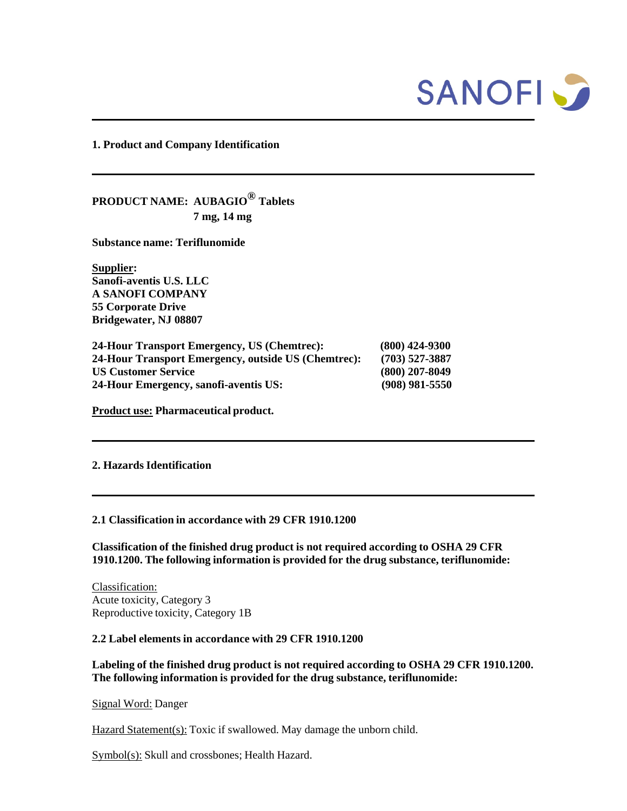

**1. Product and Company Identification**

**PRODUCT NAME: AUBAGIO® Tablets 7 mg, 14 mg**

**Substance name: Teriflunomide**

**Supplier: Sanofi-aventis U.S. LLC A SANOFI COMPANY 55 Corporate Drive Bridgewater, NJ 08807** 

| 24-Hour Transport Emergency, US (Chemtrec):         | $(800)$ 424-9300 |
|-----------------------------------------------------|------------------|
| 24-Hour Transport Emergency, outside US (Chemtrec): | $(703)$ 527-3887 |
| <b>US Customer Service</b>                          | $(800)$ 207-8049 |
| 24-Hour Emergency, sanofi-aventis US:               | $(908)$ 981-5550 |

**Product use: Pharmaceutical product.**

#### **2. Hazards Identification**

#### **2.1 Classification in accordance with 29 CFR 1910.1200**

**Classification of the finished drug product is not required according to OSHA 29 CFR 1910.1200. The following information is provided for the drug substance, teriflunomide:**

Classification: Acute toxicity, Category 3 Reproductive toxicity, Category 1B

#### **2.2 Label elements in accordance with 29 CFR 1910.1200**

**Labeling of the finished drug product is not required according to OSHA 29 CFR 1910.1200. The following information is provided for the drug substance, teriflunomide:**

Signal Word: Danger

Hazard Statement(s): Toxic if swallowed. May damage the unborn child.

Symbol(s): Skull and crossbones; Health Hazard.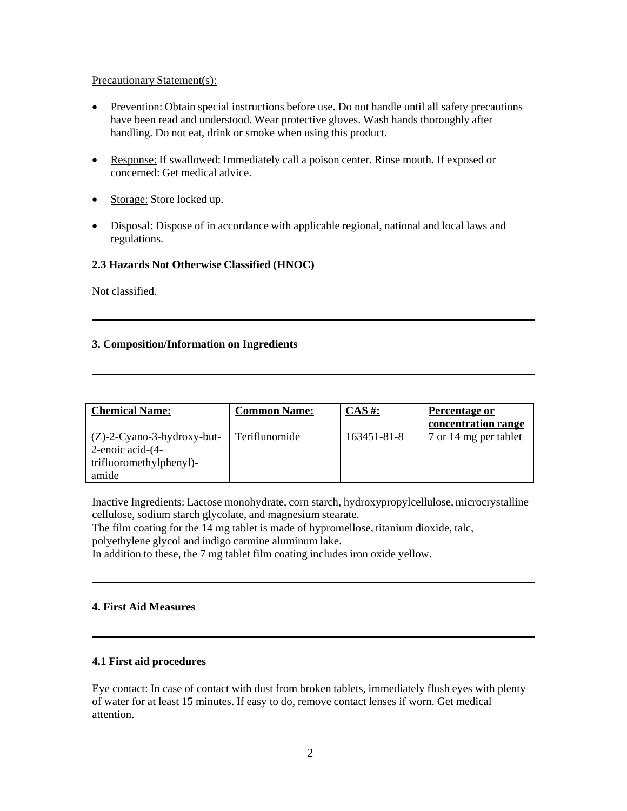### Precautionary Statement(s):

- Prevention: Obtain special instructions before use. Do not handle until all safety precautions have been read and understood. Wear protective gloves. Wash hands thoroughly after handling. Do not eat, drink or smoke when using this product.
- Response: If swallowed: Immediately call a poison center. Rinse mouth. If exposed or concerned: Get medical advice.
- Storage: Store locked up.
- Disposal: Dispose of in accordance with applicable regional, national and local laws and regulations.

# **2.3 Hazards Not Otherwise Classified (HNOC)**

Not classified.

# **3. Composition/Information on Ingredients**

| <b>Chemical Name:</b>                             | <b>Common Name:</b> | $CAS \#$ :  | <b>Percentage or</b><br>concentration range |
|---------------------------------------------------|---------------------|-------------|---------------------------------------------|
| $(Z)$ -2-Cyano-3-hydroxy-but-<br>2-enoic acid-(4- | Teriflunomide       | 163451-81-8 | 7 or 14 mg per tablet                       |
| trifluoromethylphenyl)-<br>amide                  |                     |             |                                             |

Inactive Ingredients: Lactose monohydrate, corn starch, hydroxypropylcellulose, microcrystalline cellulose, sodium starch glycolate, and magnesium stearate.

The film coating for the 14 mg tablet is made of hypromellose, titanium dioxide, talc, polyethylene glycol and indigo carmine aluminum lake.

In addition to these, the 7 mg tablet film coating includes iron oxide yellow.

# **4. First Aid Measures**

# **4.1 First aid procedures**

Eye contact: In case of contact with dust from broken tablets, immediately flush eyes with plenty of water for at least 15 minutes. If easy to do, remove contact lenses if worn. Get medical attention.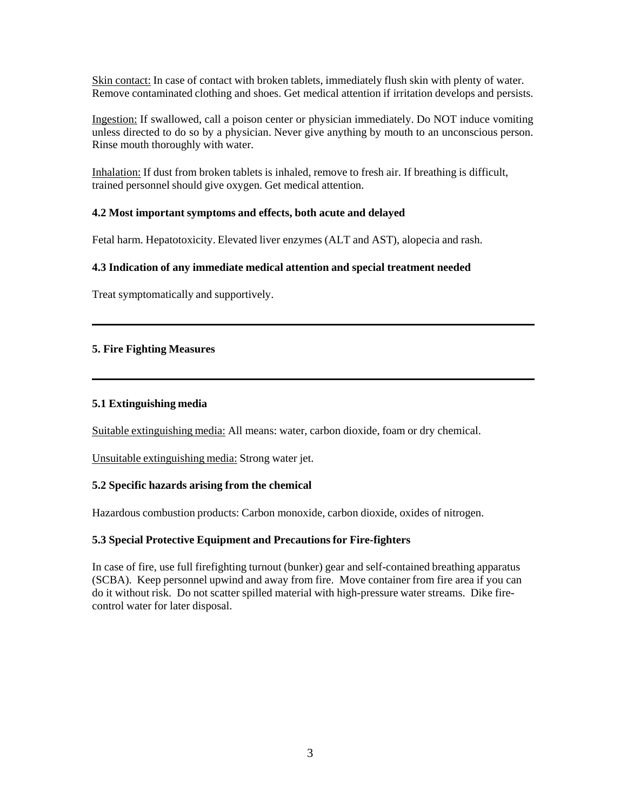Skin contact: In case of contact with broken tablets, immediately flush skin with plenty of water. Remove contaminated clothing and shoes. Get medical attention if irritation develops and persists.

Ingestion: If swallowed, call a poison center or physician immediately. Do NOT induce vomiting unless directed to do so by a physician. Never give anything by mouth to an unconscious person. Rinse mouth thoroughly with water.

Inhalation: If dust from broken tablets is inhaled, remove to fresh air. If breathing is difficult, trained personnel should give oxygen. Get medical attention.

# **4.2 Most important symptoms and effects, both acute and delayed**

Fetal harm. Hepatotoxicity. Elevated liver enzymes (ALT and AST), alopecia and rash.

# **4.3 Indication of any immediate medical attention and special treatment needed**

Treat symptomatically and supportively.

# **5. Fire Fighting Measures**

# **5.1 Extinguishing media**

Suitable extinguishing media: All means: water, carbon dioxide, foam or dry chemical.

Unsuitable extinguishing media: Strong water jet.

# **5.2 Specific hazards arising from the chemical**

Hazardous combustion products: Carbon monoxide, carbon dioxide, oxides of nitrogen.

# **5.3 Special Protective Equipment and Precautions for Fire-fighters**

In case of fire, use full firefighting turnout (bunker) gear and self-contained breathing apparatus (SCBA). Keep personnel upwind and away from fire. Move container from fire area if you can do it without risk. Do not scatter spilled material with high-pressure water streams. Dike firecontrol water for later disposal.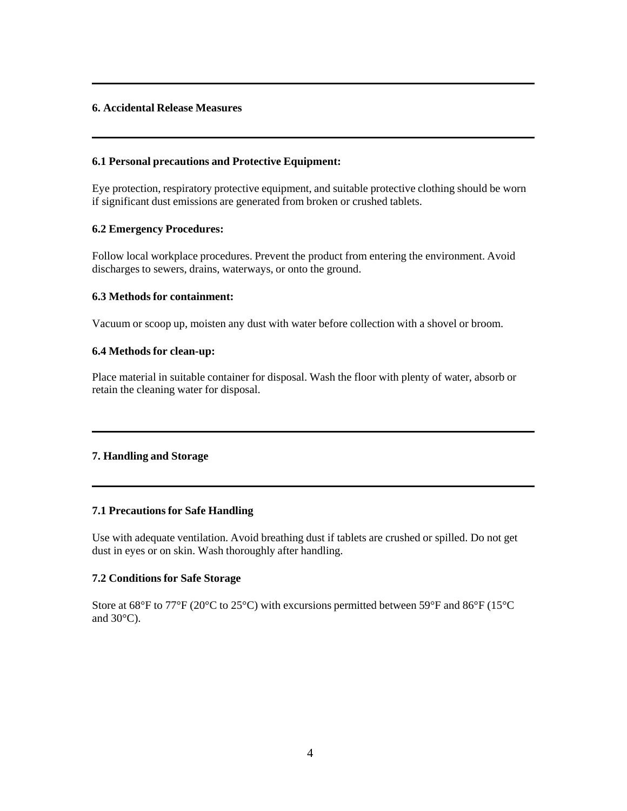# **6. Accidental Release Measures**

## **6.1 Personal precautions and Protective Equipment:**

Eye protection, respiratory protective equipment, and suitable protective clothing should be worn if significant dust emissions are generated from broken or crushed tablets.

### **6.2 Emergency Procedures:**

Follow local workplace procedures. Prevent the product from entering the environment. Avoid discharges to sewers, drains, waterways, or onto the ground.

### **6.3 Methods for containment:**

Vacuum or scoop up, moisten any dust with water before collection with a shovel or broom.

### **6.4 Methods for clean-up:**

Place material in suitable container for disposal. Wash the floor with plenty of water, absorb or retain the cleaning water for disposal.

# **7. Handling and Storage**

#### **7.1 Precautions for Safe Handling**

Use with adequate ventilation. Avoid breathing dust if tablets are crushed or spilled. Do not get dust in eyes or on skin. Wash thoroughly after handling.

# **7.2 Conditions for Safe Storage**

Store at 68°F to 77°F (20°C to 25°C) with excursions permitted between 59°F and 86°F (15°C and  $30^{\circ}$ C).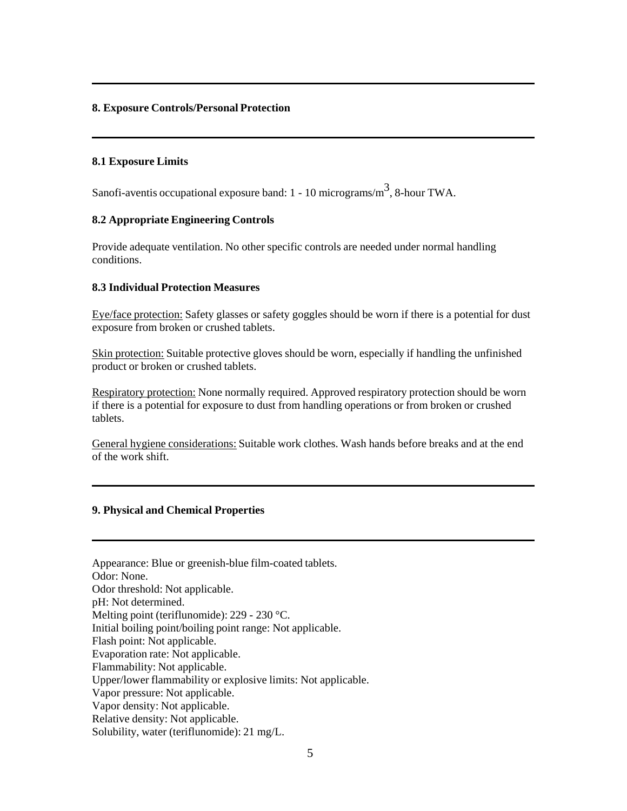## **8. Exposure Controls/Personal Protection**

## **8.1 Exposure Limits**

Sanofi-aventis occupational exposure band:  $1 - 10$  micrograms/m<sup>3</sup>, 8-hour TWA.

#### **8.2 Appropriate Engineering Controls**

Provide adequate ventilation. No other specific controls are needed under normal handling conditions.

### **8.3 Individual Protection Measures**

Eye/face protection: Safety glasses or safety goggles should be worn if there is a potential for dust exposure from broken or crushed tablets.

Skin protection: Suitable protective gloves should be worn, especially if handling the unfinished product or broken or crushed tablets.

Respiratory protection: None normally required. Approved respiratory protection should be worn if there is a potential for exposure to dust from handling operations or from broken or crushed tablets.

General hygiene considerations: Suitable work clothes. Wash hands before breaks and at the end of the work shift.

# **9. Physical and Chemical Properties**

| Appearance: Blue or greenish-blue film-coated tablets.        |
|---------------------------------------------------------------|
| Odor: None.                                                   |
| Odor threshold: Not applicable.                               |
| pH: Not determined.                                           |
| Melting point (teriflunomide): $229 - 230$ °C.                |
| Initial boiling point/boiling point range: Not applicable.    |
| Flash point: Not applicable.                                  |
| Evaporation rate: Not applicable.                             |
| Flammability: Not applicable.                                 |
| Upper/lower flammability or explosive limits: Not applicable. |
| Vapor pressure: Not applicable.                               |
| Vapor density: Not applicable.                                |
| Relative density: Not applicable.                             |
| Solubility, water (teriflunomide): 21 mg/L.                   |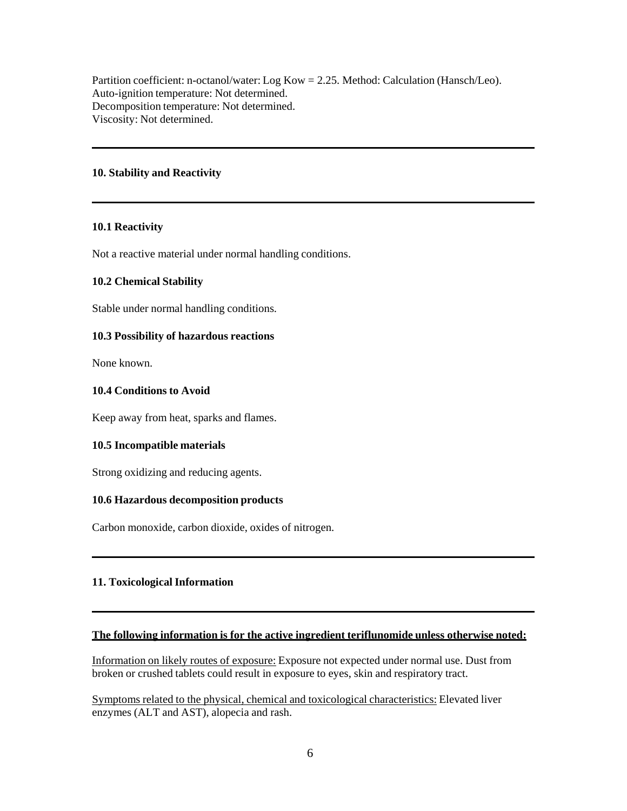Partition coefficient: n-octanol/water: Log Kow = 2.25. Method: Calculation (Hansch/Leo). Auto-ignition temperature: Not determined. Decomposition temperature: Not determined. Viscosity: Not determined.

### **10. Stability and Reactivity**

#### **10.1 Reactivity**

Not a reactive material under normal handling conditions.

#### **10.2 Chemical Stability**

Stable under normal handling conditions.

#### **10.3 Possibility of hazardous reactions**

None known.

### **10.4 Conditions to Avoid**

Keep away from heat, sparks and flames.

#### **10.5 Incompatible materials**

Strong oxidizing and reducing agents.

#### **10.6 Hazardous decomposition products**

Carbon monoxide, carbon dioxide, oxides of nitrogen.

# **11. Toxicological Information**

#### **The following information is for the active ingredient teriflunomide unless otherwise noted:**

Information on likely routes of exposure: Exposure not expected under normal use. Dust from broken or crushed tablets could result in exposure to eyes, skin and respiratory tract.

Symptoms related to the physical, chemical and toxicological characteristics: Elevated liver enzymes (ALT and AST), alopecia and rash.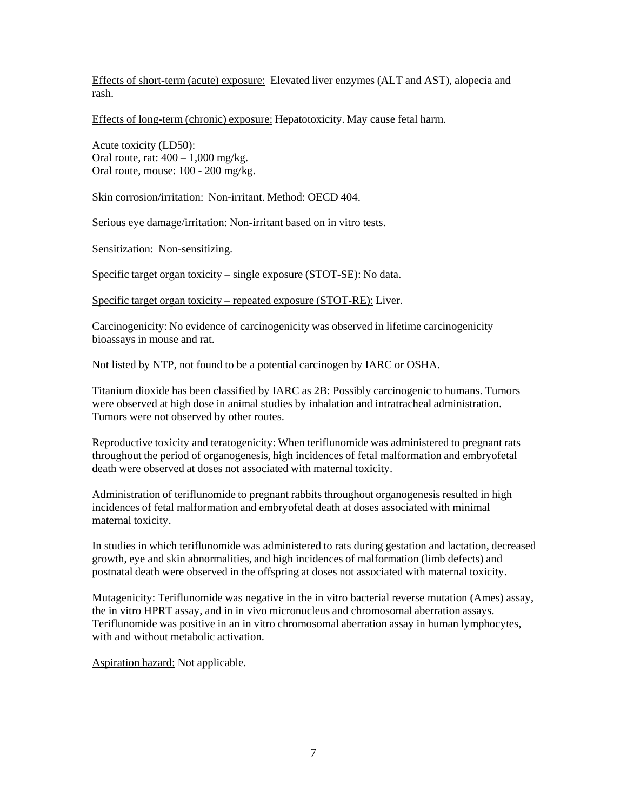Effects of short-term (acute) exposure: Elevated liver enzymes (ALT and AST), alopecia and rash.

Effects of long-term (chronic) exposure: Hepatotoxicity. May cause fetal harm.

Acute toxicity (LD50): Oral route, rat:  $400 - 1{,}000$  mg/kg. Oral route, mouse: 100 - 200 mg/kg.

Skin corrosion/irritation: Non-irritant. Method: OECD 404.

Serious eye damage/irritation: Non-irritant based on in vitro tests.

Sensitization: Non-sensitizing.

Specific target organ toxicity – single exposure (STOT-SE): No data.

Specific target organ toxicity – repeated exposure (STOT-RE): Liver.

Carcinogenicity: No evidence of carcinogenicity was observed in lifetime carcinogenicity bioassays in mouse and rat.

Not listed by NTP, not found to be a potential carcinogen by IARC or OSHA.

Titanium dioxide has been classified by IARC as 2B: Possibly carcinogenic to humans. Tumors were observed at high dose in animal studies by inhalation and intratracheal administration. Tumors were not observed by other routes.

Reproductive toxicity and teratogenicity: When teriflunomide was administered to pregnant rats throughout the period of organogenesis, high incidences of fetal malformation and embryofetal death were observed at doses not associated with maternal toxicity.

Administration of teriflunomide to pregnant rabbits throughout organogenesis resulted in high incidences of fetal malformation and embryofetal death at doses associated with minimal maternal toxicity.

In studies in which teriflunomide was administered to rats during gestation and lactation, decreased growth, eye and skin abnormalities, and high incidences of malformation (limb defects) and postnatal death were observed in the offspring at doses not associated with maternal toxicity.

Mutagenicity: Teriflunomide was negative in the in vitro bacterial reverse mutation (Ames) assay, the in vitro HPRT assay, and in in vivo micronucleus and chromosomal aberration assays. Teriflunomide was positive in an in vitro chromosomal aberration assay in human lymphocytes, with and without metabolic activation.

Aspiration hazard: Not applicable.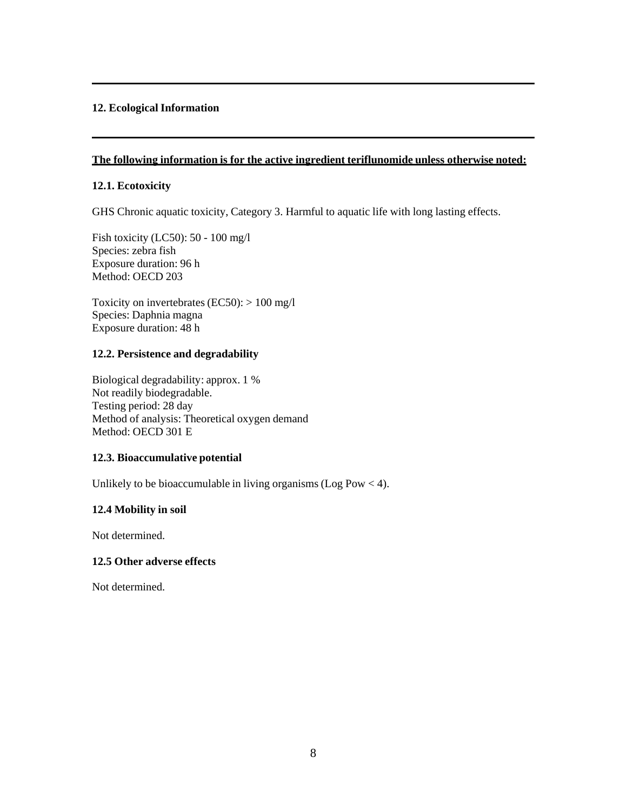# **12. Ecological Information**

## **The following information is for the active ingredient teriflunomide unless otherwise noted:**

# **12.1. Ecotoxicity**

GHS Chronic aquatic toxicity, Category 3. Harmful to aquatic life with long lasting effects.

Fish toxicity (LC50): 50 - 100 mg/l Species: zebra fish Exposure duration: 96 h Method: OECD 203

Toxicity on invertebrates (EC50):  $> 100$  mg/l Species: Daphnia magna Exposure duration: 48 h

# **12.2. Persistence and degradability**

Biological degradability: approx. 1 % Not readily biodegradable. Testing period: 28 day Method of analysis: Theoretical oxygen demand Method: OECD 301 E

# **12.3. Bioaccumulative potential**

Unlikely to be bioaccumulable in living organisms (Log Pow  $<$  4).

# **12.4 Mobility in soil**

Not determined.

# **12.5 Other adverse effects**

Not determined.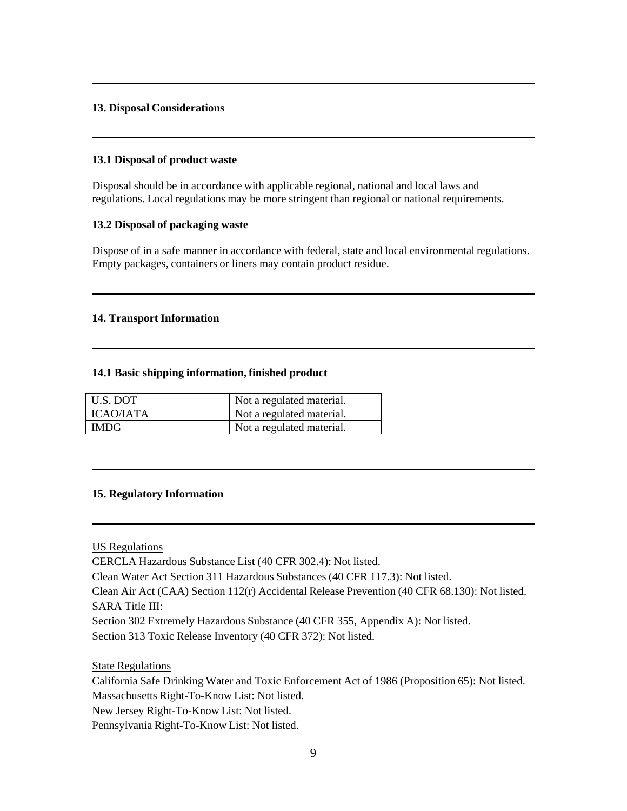# **13. Disposal Considerations**

### **13.1 Disposal of product waste**

Disposal should be in accordance with applicable regional, national and local laws and regulations. Local regulations may be more stringent than regional or national requirements.

# **13.2 Disposal of packaging waste**

Dispose of in a safe manner in accordance with federal, state and local environmental regulations. Empty packages, containers or liners may contain product residue.

### **14. Transport Information**

#### **14.1 Basic shipping information, finished product**

| U.S. DOT    | Not a regulated material. |
|-------------|---------------------------|
| ICAO/IATA   | Not a regulated material. |
| <b>IMDG</b> | Not a regulated material. |

#### **15. Regulatory Information**

US Regulations

CERCLA Hazardous Substance List (40 CFR 302.4): Not listed.

Clean Water Act Section 311 Hazardous Substances (40 CFR 117.3): Not listed.

Clean Air Act (CAA) Section 112(r) Accidental Release Prevention (40 CFR 68.130): Not listed. SARA Title III:

Section 302 Extremely Hazardous Substance (40 CFR 355, Appendix A): Not listed. Section 313 Toxic Release Inventory (40 CFR 372): Not listed.

State Regulations

California Safe Drinking Water and Toxic Enforcement Act of 1986 (Proposition 65): Not listed. Massachusetts Right-To-Know List: Not listed. New Jersey Right-To-Know List: Not listed. Pennsylvania Right-To-Know List: Not listed.